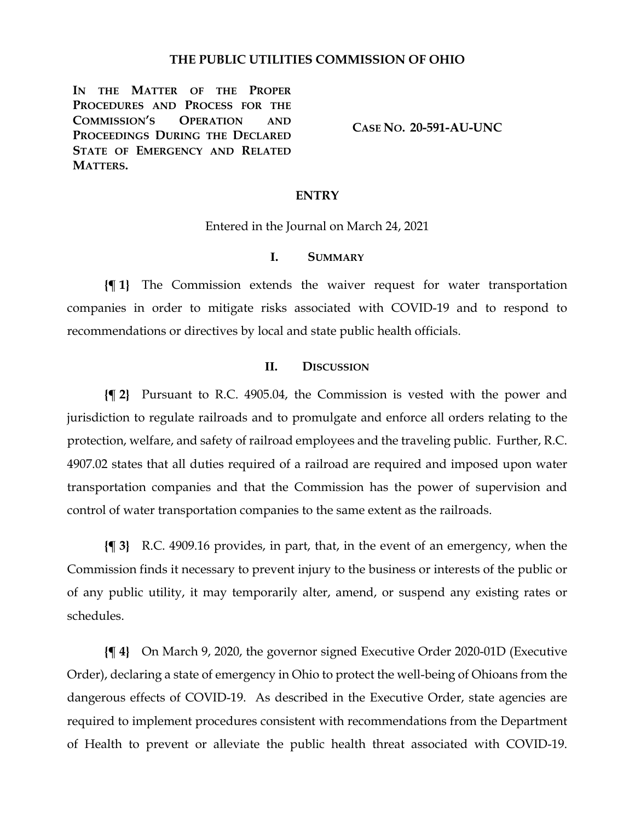### **THE PUBLIC UTILITIES COMMISSION OF OHIO**

**IN THE MATTER OF THE PROPER PROCEDURES AND PROCESS FOR THE COMMISSION'S OPERATION AND PROCEEDINGS DURING THE DECLARED STATE OF EMERGENCY AND RELATED MATTERS.**

**CASE NO. 20-591-AU-UNC**

### **ENTRY**

Entered in the Journal on March 24, 2021

## **I. SUMMARY**

**{¶ 1}** The Commission extends the waiver request for water transportation companies in order to mitigate risks associated with COVID-19 and to respond to recommendations or directives by local and state public health officials.

#### **II. DISCUSSION**

**{¶ 2}** Pursuant to R.C. 4905.04, the Commission is vested with the power and jurisdiction to regulate railroads and to promulgate and enforce all orders relating to the protection, welfare, and safety of railroad employees and the traveling public. Further, R.C. 4907.02 states that all duties required of a railroad are required and imposed upon water transportation companies and that the Commission has the power of supervision and control of water transportation companies to the same extent as the railroads.

**{¶ 3}** R.C. 4909.16 provides, in part, that, in the event of an emergency, when the Commission finds it necessary to prevent injury to the business or interests of the public or of any public utility, it may temporarily alter, amend, or suspend any existing rates or schedules.

**{¶ 4}** On March 9, 2020, the governor signed Executive Order 2020-01D (Executive Order), declaring a state of emergency in Ohio to protect the well-being of Ohioans from the dangerous effects of COVID-19. As described in the Executive Order, state agencies are required to implement procedures consistent with recommendations from the Department of Health to prevent or alleviate the public health threat associated with COVID-19.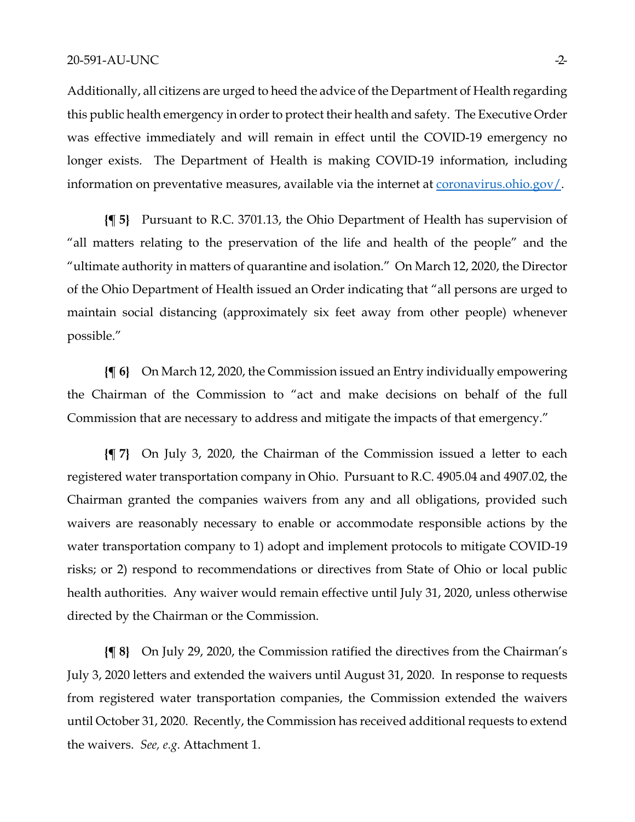Additionally, all citizens are urged to heed the advice of the Department of Health regarding this public health emergency in order to protect their health and safety. The Executive Order was effective immediately and will remain in effect until the COVID-19 emergency no longer exists. The Department of Health is making COVID-19 information, including information on preventative measures, available via the internet at **coronavirus.ohio.gov**/.

**{¶ 5}** Pursuant to R.C. 3701.13, the Ohio Department of Health has supervision of "all matters relating to the preservation of the life and health of the people" and the "ultimate authority in matters of quarantine and isolation." On March 12, 2020, the Director of the Ohio Department of Health issued an Order indicating that "all persons are urged to maintain social distancing (approximately six feet away from other people) whenever possible."

**{¶ 6}** On March 12, 2020, the Commission issued an Entry individually empowering the Chairman of the Commission to "act and make decisions on behalf of the full Commission that are necessary to address and mitigate the impacts of that emergency."

**{¶ 7}** On July 3, 2020, the Chairman of the Commission issued a letter to each registered water transportation company in Ohio. Pursuant to R.C. 4905.04 and 4907.02, the Chairman granted the companies waivers from any and all obligations, provided such waivers are reasonably necessary to enable or accommodate responsible actions by the water transportation company to 1) adopt and implement protocols to mitigate COVID-19 risks; or 2) respond to recommendations or directives from State of Ohio or local public health authorities. Any waiver would remain effective until July 31, 2020, unless otherwise directed by the Chairman or the Commission.

**{¶ 8}** On July 29, 2020, the Commission ratified the directives from the Chairman's July 3, 2020 letters and extended the waivers until August 31, 2020. In response to requests from registered water transportation companies, the Commission extended the waivers until October 31, 2020. Recently, the Commission has received additional requests to extend the waivers. *See, e.g.* Attachment 1.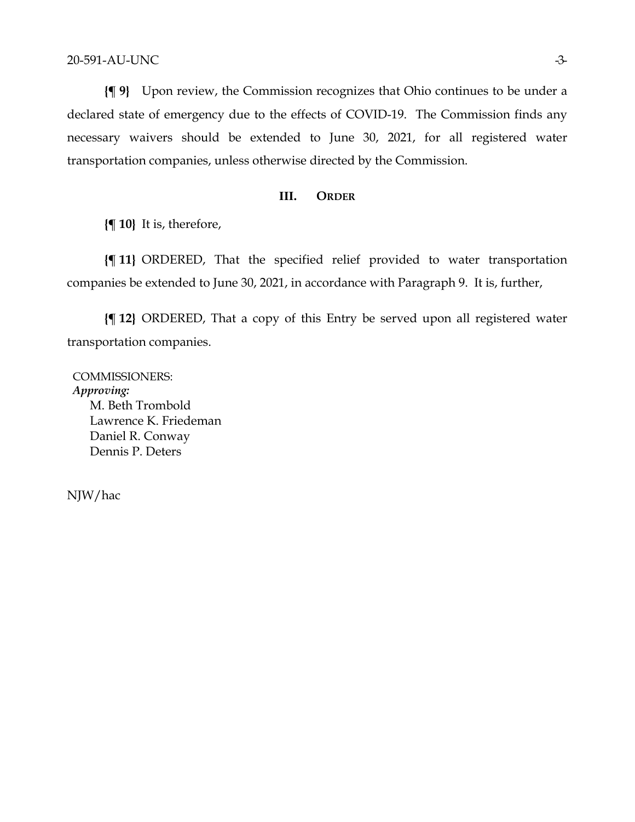**{¶ 9}** Upon review, the Commission recognizes that Ohio continues to be under a declared state of emergency due to the effects of COVID-19. The Commission finds any necessary waivers should be extended to June 30, 2021, for all registered water transportation companies, unless otherwise directed by the Commission.

## **III. ORDER**

**{¶ 10}** It is, therefore,

**{¶ 11}** ORDERED, That the specified relief provided to water transportation companies be extended to June 30, 2021, in accordance with Paragraph 9. It is, further,

**{¶ 12}** ORDERED, That a copy of this Entry be served upon all registered water transportation companies.

COMMISSIONERS: *Approving:*  M. Beth Trombold Lawrence K. Friedeman Daniel R. Conway Dennis P. Deters

NJW/hac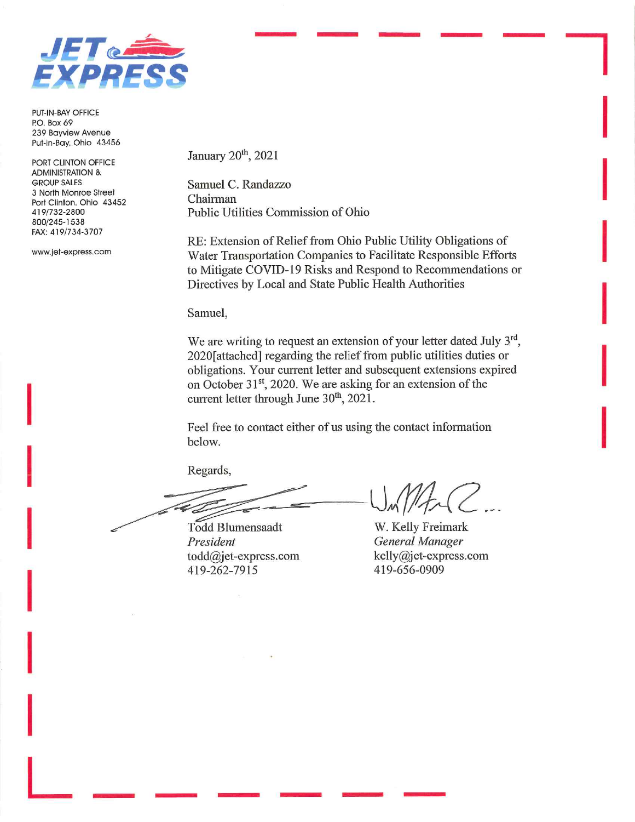

PUT-IN-BAY OFFICE P.O. Box 69 239 Bayview Avenue Put-in-Bay, Ohio 43456

PORT CLINTON OFFICE **ADMINISTRATION & GROUP SALES** 3 North Monroe Street Port Clinton, Ohio 43452 419/732-2800 800/245-1538 FAX: 419/734-3707

www.jet-express.com

January 20<sup>th</sup>, 2021

Samuel C. Randazzo Chairman Public Utilities Commission of Ohio

RE: Extension of Relief from Ohio Public Utility Obligations of Water Transportation Companies to Facilitate Responsible Efforts to Mitigate COVID-19 Risks and Respond to Recommendations or Directives by Local and State Public Health Authorities

Samuel,

We are writing to request an extension of your letter dated July 3<sup>rd</sup>, 2020[attached] regarding the relief from public utilities duties or obligations. Your current letter and subsequent extensions expired on October 31<sup>st</sup>, 2020. We are asking for an extension of the current letter through June 30<sup>th</sup>, 2021.

Feel free to contact either of us using the contact information below.

Regards,

Todd Blumensaadt President  $todd@jet$ -express.com 419-262-7915

W. Kelly Freimark **General Manager** kelly@jet-express.com 419-656-0909